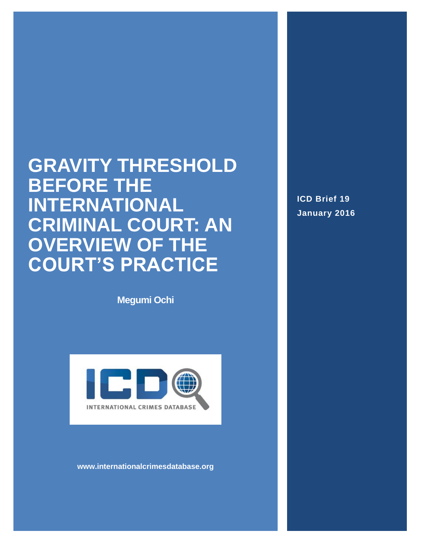# **GRAVITY THRESHOLD BEFORE THE INTERNATIONAL CRIMINAL COURT: AN OVERVIEW OF THE COURT'S PRACTICE**

**Megumi Ochi**



**www.internationalcrimesdatabase.org**

**ICD Brief 19 January 2016**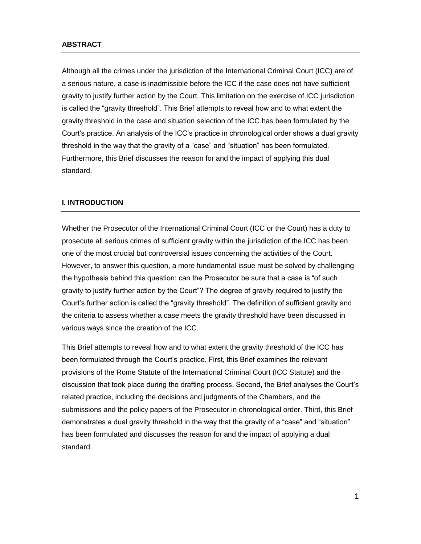#### **ABSTRACT**

Although all the crimes under the jurisdiction of the International Criminal Court (ICC) are of a serious nature, a case is inadmissible before the ICC if the case does not have sufficient gravity to justify further action by the Court. This limitation on the exercise of ICC jurisdiction is called the "gravity threshold". This Brief attempts to reveal how and to what extent the gravity threshold in the case and situation selection of the ICC has been formulated by the Court's practice. An analysis of the ICC's practice in chronological order shows a dual gravity threshold in the way that the gravity of a "case" and "situation" has been formulated. Furthermore, this Brief discusses the reason for and the impact of applying this dual standard.

#### **I. INTRODUCTION**

Whether the Prosecutor of the International Criminal Court (ICC or the Court) has a duty to prosecute all serious crimes of sufficient gravity within the jurisdiction of the ICC has been one of the most crucial but controversial issues concerning the activities of the Court. However, to answer this question, a more fundamental issue must be solved by challenging the hypothesis behind this question: can the Prosecutor be sure that a case is "of such gravity to justify further action by the Court"? The degree of gravity required to justify the Court's further action is called the "gravity threshold". The definition of sufficient gravity and the criteria to assess whether a case meets the gravity threshold have been discussed in various ways since the creation of the ICC.

This Brief attempts to reveal how and to what extent the gravity threshold of the ICC has been formulated through the Court's practice. First, this Brief examines the relevant provisions of the Rome Statute of the International Criminal Court (ICC Statute) and the discussion that took place during the drafting process. Second, the Brief analyses the Court's related practice, including the decisions and judgments of the Chambers, and the submissions and the policy papers of the Prosecutor in chronological order. Third, this Brief demonstrates a dual gravity threshold in the way that the gravity of a "case" and "situation" has been formulated and discusses the reason for and the impact of applying a dual standard.

1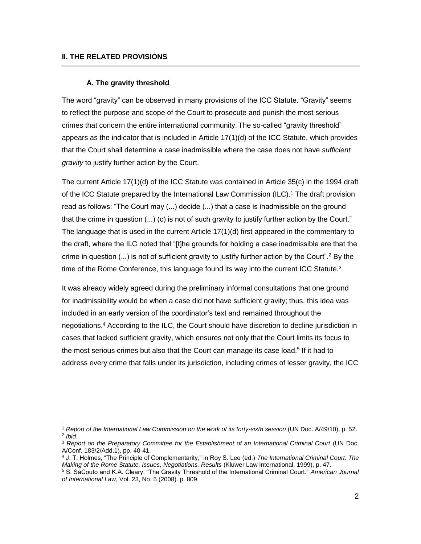$\overline{a}$ 

#### **A. The gravity threshold**

The word "gravity" can be observed in many provisions of the ICC Statute. "Gravity" seems to reflect the purpose and scope of the Court to prosecute and punish the most serious crimes that concern the entire international community. The so-called "gravity threshold" appears as the indicator that is included in Article 17(1)(d) of the ICC Statute, which provides that the Court shall determine a case inadmissible where the case does not have *sufficient gravity* to justify further action by the Court.

The current Article 17(1)(d) of the ICC Statute was contained in Article 35(c) in the 1994 draft of the ICC Statute prepared by the International Law Commission (ILC).<sup>1</sup> The draft provision read as follows: "The Court may (...) decide (...) that a case is inadmissible on the ground that the crime in question (...) (c) is not of such gravity to justify further action by the Court." The language that is used in the current Article 17(1)(d) first appeared in the commentary to the draft, where the ILC noted that "[t]he grounds for holding a case inadmissible are that the crime in question  $(...)$  is not of sufficient gravity to justify further action by the Court".<sup>2</sup> By the time of the Rome Conference, this language found its way into the current ICC Statute. $3$ 

It was already widely agreed during the preliminary informal consultations that one ground for inadmissibility would be when a case did not have sufficient gravity; thus, this idea was included in an early version of the coordinator's text and remained throughout the negotiations.<sup>4</sup> According to the ILC, the Court should have discretion to decline jurisdiction in cases that lacked sufficient gravity, which ensures not only that the Court limits its focus to the most serious crimes but also that the Court can manage its case load.<sup>5</sup> If it had to address every crime that falls under its jurisdiction, including crimes of lesser gravity, the ICC

<sup>1</sup> *Report of the International Law Commission on the work of its forty-sixth session* (UN Doc. A/49/10), p. 52. 2 *Ibid*.

<sup>3</sup> *Report on the Preparatory Committee for the Establishment of an International Criminal Court* (UN Doc. A/Conf. 183/2/Add.1), pp. 40-41.

<sup>4</sup> J. T. Holmes, "The Principle of Complementarity," in Roy S. Lee (ed.) *The International Criminal Court: The Making of the Rome Statute, Issues, Negotiations, Results* (Kluwer Law International, 1999), p. 47.

<sup>5</sup> S. SáCouto and K.A. Cleary. "The Gravity Threshold of the International Criminal Court." *American Journal of International Law*, Vol. 23, No. 5 (2008). p. 809.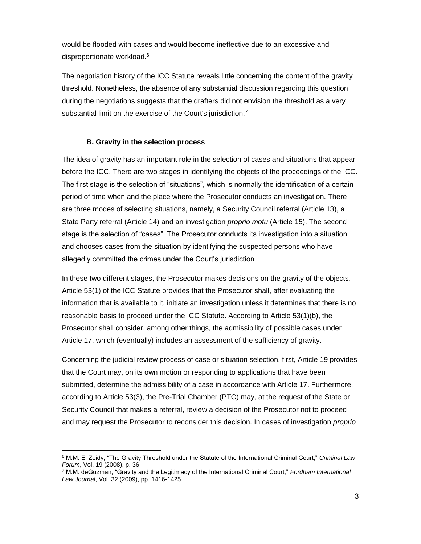would be flooded with cases and would become ineffective due to an excessive and disproportionate workload.<sup>6</sup>

The negotiation history of the ICC Statute reveals little concerning the content of the gravity threshold. Nonetheless, the absence of any substantial discussion regarding this question during the negotiations suggests that the drafters did not envision the threshold as a very substantial limit on the exercise of the Court's jurisdiction.<sup>7</sup>

#### **B. Gravity in the selection process**

 $\overline{\phantom{a}}$ 

The idea of gravity has an important role in the selection of cases and situations that appear before the ICC. There are two stages in identifying the objects of the proceedings of the ICC. The first stage is the selection of "situations", which is normally the identification of a certain period of time when and the place where the Prosecutor conducts an investigation. There are three modes of selecting situations, namely, a Security Council referral (Article 13), a State Party referral (Article 14) and an investigation *proprio motu* (Article 15). The second stage is the selection of "cases". The Prosecutor conducts its investigation into a situation and chooses cases from the situation by identifying the suspected persons who have allegedly committed the crimes under the Court's jurisdiction.

In these two different stages, the Prosecutor makes decisions on the gravity of the objects. Article 53(1) of the ICC Statute provides that the Prosecutor shall, after evaluating the information that is available to it, initiate an investigation unless it determines that there is no reasonable basis to proceed under the ICC Statute. According to Article 53(1)(b), the Prosecutor shall consider, among other things, the admissibility of possible cases under Article 17, which (eventually) includes an assessment of the sufficiency of gravity.

Concerning the judicial review process of case or situation selection, first, Article 19 provides that the Court may, on its own motion or responding to applications that have been submitted, determine the admissibility of a case in accordance with Article 17. Furthermore, according to Article 53(3), the Pre-Trial Chamber (PTC) may, at the request of the State or Security Council that makes a referral, review a decision of the Prosecutor not to proceed and may request the Prosecutor to reconsider this decision. In cases of investigation *proprio* 

<sup>6</sup> M.M. El Zeidy, "The Gravity Threshold under the Statute of the International Criminal Court," *Criminal Law Forum*, Vol. 19 (2008), p. 36.

<sup>7</sup> M.M. deGuzman, "Gravity and the Legitimacy of the International Criminal Court," *Fordham International Law Journal*, Vol. 32 (2009), pp. 1416-1425.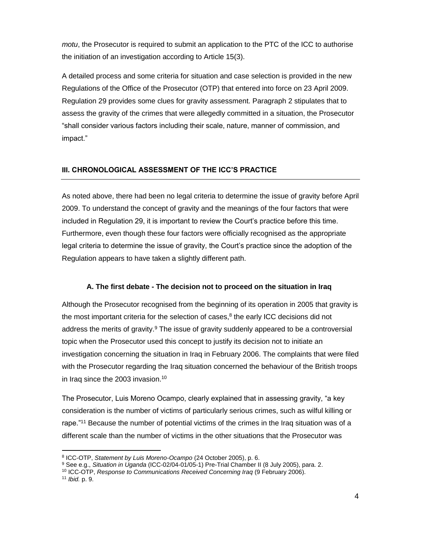*motu*, the Prosecutor is required to submit an application to the PTC of the ICC to authorise the initiation of an investigation according to Article 15(3).

A detailed process and some criteria for situation and case selection is provided in the new Regulations of the Office of the Prosecutor (OTP) that entered into force on 23 April 2009. Regulation 29 provides some clues for gravity assessment. Paragraph 2 stipulates that to assess the gravity of the crimes that were allegedly committed in a situation, the Prosecutor "shall consider various factors including their scale, nature, manner of commission, and impact."

# **III. CHRONOLOGICAL ASSESSMENT OF THE ICC'S PRACTICE**

As noted above, there had been no legal criteria to determine the issue of gravity before April 2009. To understand the concept of gravity and the meanings of the four factors that were included in Regulation 29, it is important to review the Court's practice before this time. Furthermore, even though these four factors were officially recognised as the appropriate legal criteria to determine the issue of gravity, the Court's practice since the adoption of the Regulation appears to have taken a slightly different path.

# **A. The first debate - The decision not to proceed on the situation in Iraq**

Although the Prosecutor recognised from the beginning of its operation in 2005 that gravity is the most important criteria for the selection of cases, $8$  the early ICC decisions did not address the merits of gravity.<sup>9</sup> The issue of gravity suddenly appeared to be a controversial topic when the Prosecutor used this concept to justify its decision not to initiate an investigation concerning the situation in Iraq in February 2006. The complaints that were filed with the Prosecutor regarding the Iraq situation concerned the behaviour of the British troops in Irag since the 2003 invasion.<sup>10</sup>

The Prosecutor, Luis Moreno Ocampo, clearly explained that in assessing gravity, "a key consideration is the number of victims of particularly serious crimes, such as wilful killing or rape."<sup>11</sup> Because the number of potential victims of the crimes in the Iraq situation was of a different scale than the number of victims in the other situations that the Prosecutor was

<sup>8</sup> ICC-OTP, *Statement by Luis Moreno-Ocampo* (24 October 2005), p. 6.

<sup>9</sup> See e.g., *Situation in Uganda* (ICC-02/04-01/05-1) Pre-Trial Chamber II (8 July 2005), para. 2.

<sup>10</sup> ICC-OTP, *Response to Communications Received Concerning Iraq* (9 February 2006).

<sup>11</sup> *Ibid.* p. 9.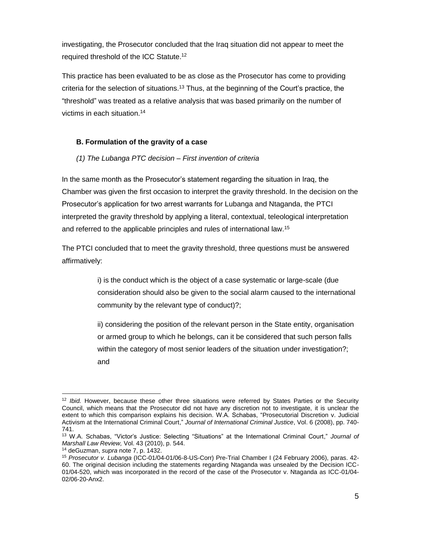investigating, the Prosecutor concluded that the Iraq situation did not appear to meet the required threshold of the ICC Statute.<sup>12</sup>

This practice has been evaluated to be as close as the Prosecutor has come to providing criteria for the selection of situations.<sup>13</sup> Thus, at the beginning of the Court's practice, the "threshold" was treated as a relative analysis that was based primarily on the number of victims in each situation.<sup>14</sup>

# **B. Formulation of the gravity of a case**

## *(1) The Lubanga PTC decision – First invention of criteria*

In the same month as the Prosecutor's statement regarding the situation in Iraq, the Chamber was given the first occasion to interpret the gravity threshold. In the decision on the Prosecutor's application for two arrest warrants for Lubanga and Ntaganda, the PTCI interpreted the gravity threshold by applying a literal, contextual, teleological interpretation and referred to the applicable principles and rules of international law.<sup>15</sup>

The PTCI concluded that to meet the gravity threshold, three questions must be answered affirmatively:

> i) is the conduct which is the object of a case systematic or large-scale (due consideration should also be given to the social alarm caused to the international community by the relevant type of conduct)?;

> ii) considering the position of the relevant person in the State entity, organisation or armed group to which he belongs, can it be considered that such person falls within the category of most senior leaders of the situation under investigation?; and

 $\overline{\phantom{a}}$ <sup>12</sup> *Ibid.* However, because these other three situations were referred by States Parties or the Security Council, which means that the Prosecutor did not have any discretion not to investigate, it is unclear the extent to which this comparison explains his decision. W.A. Schabas, "Prosecutorial Discretion v. Judicial Activism at the International Criminal Court," *Journal of International Criminal Justice*, Vol. 6 (2008), pp. 740- 741.

<sup>13</sup> W.A. Schabas, "Victor's Justice: Selecting "Situations" at the International Criminal Court," *Journal of Marshall Law Review,* Vol. 43 (2010), p. 544.

<sup>14</sup> deGuzman, *supra* note 7, p. 1432.

<sup>15</sup> *Prosecutor v. Lubanga* (ICC-01/04-01/06-8-US-Corr) Pre-Trial Chamber I (24 February 2006), paras. 42- 60. The original decision including the statements regarding Ntaganda was unsealed by the Decision ICC-01/04-520, which was incorporated in the record of the case of the Prosecutor v. Ntaganda as ICC-01/04- 02/06-20-Anx2.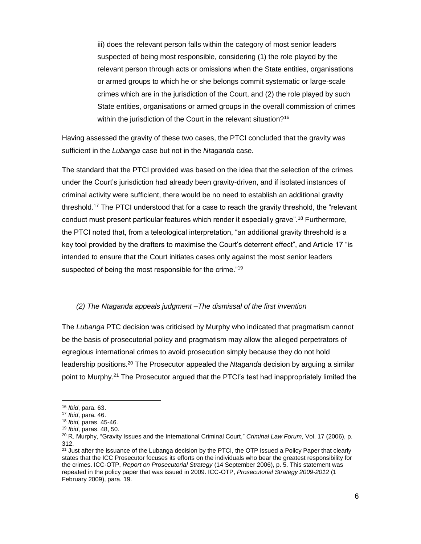iii) does the relevant person falls within the category of most senior leaders suspected of being most responsible, considering (1) the role played by the relevant person through acts or omissions when the State entities, organisations or armed groups to which he or she belongs commit systematic or large-scale crimes which are in the jurisdiction of the Court, and (2) the role played by such State entities, organisations or armed groups in the overall commission of crimes within the jurisdiction of the Court in the relevant situation?<sup>16</sup>

Having assessed the gravity of these two cases, the PTCI concluded that the gravity was sufficient in the *Lubanga* case but not in the *Ntaganda* case.

The standard that the PTCI provided was based on the idea that the selection of the crimes under the Court's jurisdiction had already been gravity-driven, and if isolated instances of criminal activity were sufficient, there would be no need to establish an additional gravity threshold.<sup>17</sup> The PTCI understood that for a case to reach the gravity threshold, the "relevant conduct must present particular features which render it especially grave".<sup>18</sup> Furthermore, the PTCI noted that, from a teleological interpretation, "an additional gravity threshold is a key tool provided by the drafters to maximise the Court's deterrent effect", and Article 17 "is intended to ensure that the Court initiates cases only against the most senior leaders suspected of being the most responsible for the crime."<sup>19</sup>

## *(2) The Ntaganda appeals judgment –The dismissal of the first invention*

The *Lubanga* PTC decision was criticised by Murphy who indicated that pragmatism cannot be the basis of prosecutorial policy and pragmatism may allow the alleged perpetrators of egregious international crimes to avoid prosecution simply because they do not hold leadership positions.<sup>20</sup> The Prosecutor appealed the *Ntaganda* decision by arguing a similar point to Murphy.<sup>21</sup> The Prosecutor argued that the PTCI's test had inappropriately limited the

 $\overline{a}$ 

<sup>16</sup> *Ibid*, para. 63.

<sup>17</sup> *Ibid*, para. 46.

<sup>18</sup> *Ibid,* paras. 45-46.

<sup>19</sup> *Ibid*, paras. 48, 50.

<sup>20</sup> R. Murphy, "Gravity Issues and the International Criminal Court," *Criminal Law Forum*, Vol. 17 (2006), p. 312.

<sup>&</sup>lt;sup>21</sup> Just after the issuance of the Lubanga decision by the PTCI, the OTP issued a Policy Paper that clearly states that the ICC Prosecutor focuses its efforts on the individuals who bear the greatest responsibility for the crimes. ICC-OTP, *Report on Prosecutorial Strategy* (14 September 2006), p. 5. This statement was repeated in the policy paper that was issued in 2009. ICC-OTP, *Prosecutorial Strategy 2009-2012* (1 February 2009), para. 19.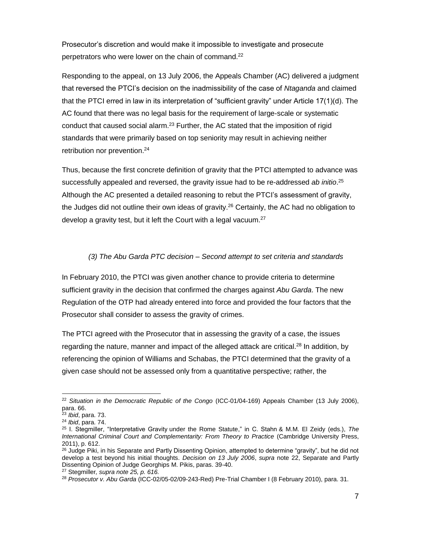Prosecutor's discretion and would make it impossible to investigate and prosecute perpetrators who were lower on the chain of command.<sup>22</sup>

Responding to the appeal, on 13 July 2006, the Appeals Chamber (AC) delivered a judgment that reversed the PTCI's decision on the inadmissibility of the case of *Ntaganda* and claimed that the PTCI erred in law in its interpretation of "sufficient gravity" under Article 17(1)(d). The AC found that there was no legal basis for the requirement of large-scale or systematic conduct that caused social alarm. $2<sup>3</sup>$  Further, the AC stated that the imposition of rigid standards that were primarily based on top seniority may result in achieving neither retribution nor prevention. 24

Thus, because the first concrete definition of gravity that the PTCI attempted to advance was successfully appealed and reversed, the gravity issue had to be re-addressed *ab initio*. 25 Although the AC presented a detailed reasoning to rebut the PTCI's assessment of gravity, the Judges did not outline their own ideas of gravity.<sup>26</sup> Certainly, the AC had no obligation to develop a gravity test, but it left the Court with a legal vacuum.<sup>27</sup>

## *(3) The Abu Garda PTC decision – Second attempt to set criteria and standards*

In February 2010, the PTCI was given another chance to provide criteria to determine sufficient gravity in the decision that confirmed the charges against *Abu Garda*. The new Regulation of the OTP had already entered into force and provided the four factors that the Prosecutor shall consider to assess the gravity of crimes.

The PTCI agreed with the Prosecutor that in assessing the gravity of a case, the issues regarding the nature, manner and impact of the alleged attack are critical.<sup>28</sup> In addition, by referencing the opinion of Williams and Schabas, the PTCI determined that the gravity of a given case should not be assessed only from a quantitative perspective; rather, the

<sup>22</sup> *Situation in the Democratic Republic of the Congo* (ICC-01/04-169) Appeals Chamber (13 July 2006), para. 66.

<sup>23</sup> *Ibid*, para. 73.

<sup>24</sup> *Ibid*, para. 74.

<sup>25</sup> I. Stegmiller, "Interpretative Gravity under the Rome Statute," in C. Stahn & M.M. El Zeidy (eds.), *The International Criminal Court and Complementarity: From Theory to Practice* (Cambridge University Press, 2011), p. 612.

<sup>&</sup>lt;sup>26</sup> Judge Piki, in his Separate and Partly Dissenting Opinion, attempted to determine "gravity", but he did not develop a test beyond his initial thoughts. *Decision on 13 July 2006*, *supra* note 22, Separate and Partly Dissenting Opinion of Judge Georghips M. Pikis, paras. 39-40.

<sup>27</sup> Stegmiller*, supra note 25, p. 616.*

<sup>28</sup> *Prosecutor v. Abu Garda* (ICC-02/05-02/09-243-Red) Pre-Trial Chamber I (8 February 2010), para. 31.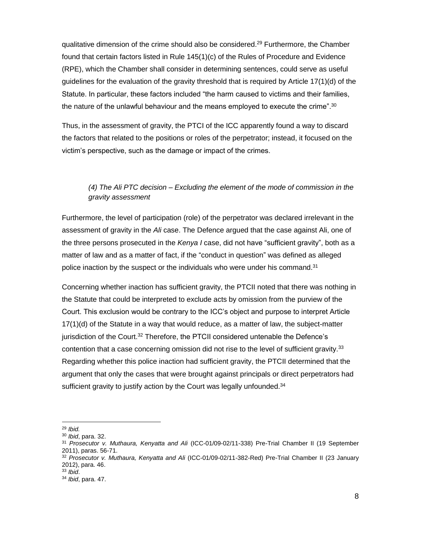qualitative dimension of the crime should also be considered.<sup>29</sup> Furthermore, the Chamber found that certain factors listed in Rule 145(1)(c) of the Rules of Procedure and Evidence (RPE), which the Chamber shall consider in determining sentences, could serve as useful guidelines for the evaluation of the gravity threshold that is required by Article 17(1)(d) of the Statute. In particular, these factors included "the harm caused to victims and their families, the nature of the unlawful behaviour and the means employed to execute the crime". $30$ 

Thus, in the assessment of gravity, the PTCI of the ICC apparently found a way to discard the factors that related to the positions or roles of the perpetrator; instead, it focused on the victim's perspective, such as the damage or impact of the crimes.

# *(4) The Ali PTC decision – Excluding the element of the mode of commission in the gravity assessment*

Furthermore, the level of participation (role) of the perpetrator was declared irrelevant in the assessment of gravity in the *Ali* case. The Defence argued that the case against Ali, one of the three persons prosecuted in the *Kenya I* case, did not have "sufficient gravity", both as a matter of law and as a matter of fact, if the "conduct in question" was defined as alleged police inaction by the suspect or the individuals who were under his command.<sup>31</sup>

Concerning whether inaction has sufficient gravity, the PTCII noted that there was nothing in the Statute that could be interpreted to exclude acts by omission from the purview of the Court. This exclusion would be contrary to the ICC's object and purpose to interpret Article 17(1)(d) of the Statute in a way that would reduce, as a matter of law, the subject-matter jurisdiction of the Court.<sup>32</sup> Therefore, the PTCII considered untenable the Defence's contention that a case concerning omission did not rise to the level of sufficient gravity.<sup>33</sup> Regarding whether this police inaction had sufficient gravity, the PTCII determined that the argument that only the cases that were brought against principals or direct perpetrators had sufficient gravity to justify action by the Court was legally unfounded.<sup>34</sup>

 $\overline{a}$ 

<sup>29</sup> *Ibid.*

<sup>30</sup> *Ibid*, para. 32.

<sup>31</sup> *Prosecutor v. Muthaura, Kenyatta and Ali* (ICC-01/09-02/11-338) Pre-Trial Chamber II (19 September 2011), paras. 56-71.

<sup>32</sup> *Prosecutor v. Muthaura, Kenyatta and Ali* (ICC-01/09-02/11-382-Red) Pre-Trial Chamber II (23 January 2012), para. 46.

<sup>33</sup> *Ibid*.

<sup>34</sup> *Ibid*, para. 47.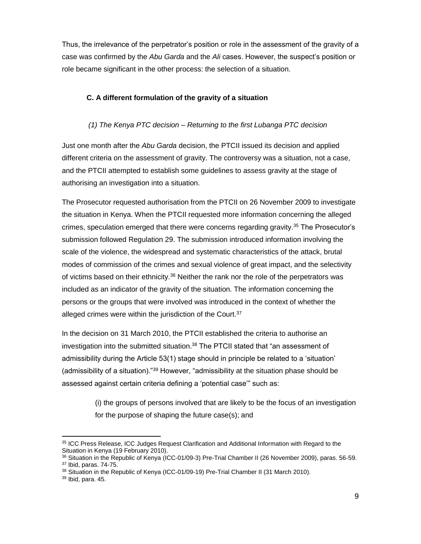Thus, the irrelevance of the perpetrator's position or role in the assessment of the gravity of a case was confirmed by the *Abu Garda* and the *Ali* cases. However, the suspect's position or role became significant in the other process: the selection of a situation.

# **C. A different formulation of the gravity of a situation**

# *(1) The Kenya PTC decision – Returning to the first Lubanga PTC decision*

Just one month after the *Abu Garda* decision, the PTCII issued its decision and applied different criteria on the assessment of gravity. The controversy was a situation, not a case, and the PTCII attempted to establish some guidelines to assess gravity at the stage of authorising an investigation into a situation.

The Prosecutor requested authorisation from the PTCII on 26 November 2009 to investigate the situation in Kenya. When the PTCII requested more information concerning the alleged crimes, speculation emerged that there were concerns regarding gravity.<sup>35</sup> The Prosecutor's submission followed Regulation 29. The submission introduced information involving the scale of the violence, the widespread and systematic characteristics of the attack, brutal modes of commission of the crimes and sexual violence of great impact, and the selectivity of victims based on their ethnicity.<sup>36</sup> Neither the rank nor the role of the perpetrators was included as an indicator of the gravity of the situation. The information concerning the persons or the groups that were involved was introduced in the context of whether the alleged crimes were within the jurisdiction of the Court.<sup>37</sup>

In the decision on 31 March 2010, the PTCII established the criteria to authorise an investigation into the submitted situation.<sup>38</sup> The PTCII stated that "an assessment of admissibility during the Article 53(1) stage should in principle be related to a 'situation' (admissibility of a situation)."<sup>39</sup> However, "admissibility at the situation phase should be assessed against certain criteria defining a 'potential case'" such as:

> (i) the groups of persons involved that are likely to be the focus of an investigation for the purpose of shaping the future case(s); and

 $\overline{\phantom{a}}$ <sup>35</sup> ICC Press Release, ICC Judges Request Clarification and Additional Information with Regard to the Situation in Kenya (19 February 2010).

<sup>36</sup> Situation in the Republic of Kenya (ICC-01/09-3) Pre-Trial Chamber II (26 November 2009), paras. 56-59. <sup>37</sup> Ibid, paras. 74-75.

<sup>&</sup>lt;sup>38</sup> Situation in the Republic of Kenya (ICC-01/09-19) Pre-Trial Chamber II (31 March 2010).

<sup>39</sup> Ibid, para. 45.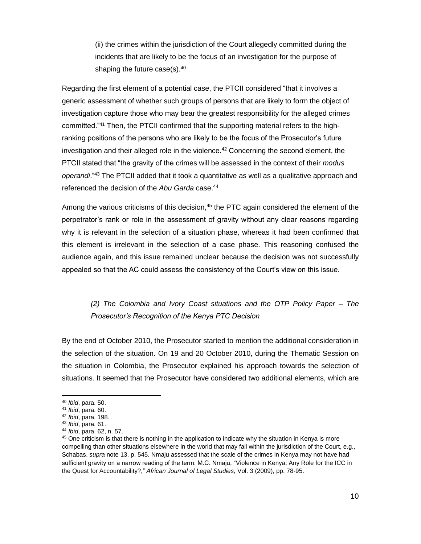(ii) the crimes within the jurisdiction of the Court allegedly committed during the incidents that are likely to be the focus of an investigation for the purpose of shaping the future case(s).<sup>40</sup>

Regarding the first element of a potential case, the PTCII considered "that it involves a generic assessment of whether such groups of persons that are likely to form the object of investigation capture those who may bear the greatest responsibility for the alleged crimes committed."<sup>41</sup> Then, the PTCII confirmed that the supporting material refers to the highranking positions of the persons who are likely to be the focus of the Prosecutor's future investigation and their alleged role in the violence.<sup>42</sup> Concerning the second element, the PTCII stated that "the gravity of the crimes will be assessed in the context of their *modus operandi*."<sup>43</sup> The PTCII added that it took a quantitative as well as a qualitative approach and referenced the decision of the *Abu Garda* case.<sup>44</sup>

Among the various criticisms of this decision, $45$  the PTC again considered the element of the perpetrator's rank or role in the assessment of gravity without any clear reasons regarding why it is relevant in the selection of a situation phase, whereas it had been confirmed that this element is irrelevant in the selection of a case phase. This reasoning confused the audience again, and this issue remained unclear because the decision was not successfully appealed so that the AC could assess the consistency of the Court's view on this issue.

# *(2) The Colombia and Ivory Coast situations and the OTP Policy Paper – The Prosecutor's Recognition of the Kenya PTC Decision*

By the end of October 2010, the Prosecutor started to mention the additional consideration in the selection of the situation. On 19 and 20 October 2010, during the Thematic Session on the situation in Colombia, the Prosecutor explained his approach towards the selection of situations. It seemed that the Prosecutor have considered two additional elements, which are

<sup>40</sup> *Ibid*, para. 50.

<sup>41</sup> *Ibid*, para. 60.

<sup>42</sup> *Ibid*, para. 198.

<sup>43</sup> *Ibid*, para. 61.

<sup>44</sup> *Ibid*, para. 62, n. 57.

<sup>&</sup>lt;sup>45</sup> One criticism is that there is nothing in the application to indicate why the situation in Kenya is more compelling than other situations elsewhere in the world that may fall within the jurisdiction of the Court, e.g., Schabas, *supra* note 13, p. 545. Nmaju assessed that the scale of the crimes in Kenya may not have had sufficient gravity on a narrow reading of the term. M.C. Nmaju, "Violence in Kenya: Any Role for the ICC in the Quest for Accountability?," *African Journal of Legal Studies,* Vol. 3 (2009), pp. 78-95.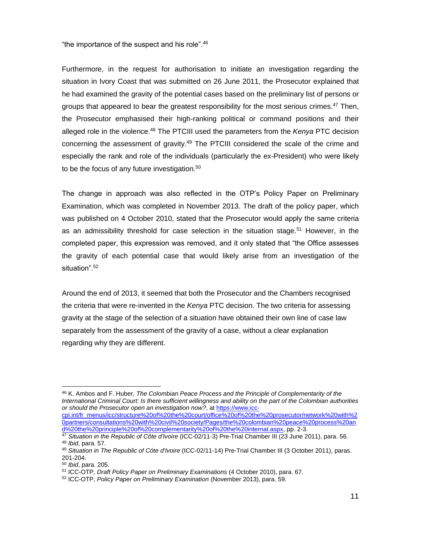"the importance of the suspect and his role".<sup>46</sup>

Furthermore, in the request for authorisation to initiate an investigation regarding the situation in Ivory Coast that was submitted on 26 June 2011, the Prosecutor explained that he had examined the gravity of the potential cases based on the preliminary list of persons or groups that appeared to bear the greatest responsibility for the most serious crimes.<sup>47</sup> Then, the Prosecutor emphasised their high-ranking political or command positions and their alleged role in the violence.<sup>48</sup> The PTCIII used the parameters from the *Kenya* PTC decision concerning the assessment of gravity.<sup>49</sup> The PTCIII considered the scale of the crime and especially the rank and role of the individuals (particularly the ex-President) who were likely to be the focus of any future investigation.<sup>50</sup>

The change in approach was also reflected in the OTP's Policy Paper on Preliminary Examination, which was completed in November 2013. The draft of the policy paper, which was published on 4 October 2010, stated that the Prosecutor would apply the same criteria as an admissibility threshold for case selection in the situation stage.<sup>51</sup> However, in the completed paper, this expression was removed, and it only stated that "the Office assesses the gravity of each potential case that would likely arise from an investigation of the situation".<sup>52</sup>

Around the end of 2013, it seemed that both the Prosecutor and the Chambers recognised the criteria that were re-invented in the *Kenya* PTC decision. The two criteria for assessing gravity at the stage of the selection of a situation have obtained their own line of case law separately from the assessment of the gravity of a case, without a clear explanation regarding why they are different.

 $\overline{a}$ <sup>46</sup> K. Ambos and F. Huber, *The Colombian Peace Process and the Principle of Complementarity of the International Criminal Court: Is there sufficient willingness and ability on the part of the Colombian authorities or should the Prosecutor open an investigation now?*, a[t https://www.icc-](https://www.icc-cpi.int/fr_menus/icc/structure%20of%20the%20court/office%20of%20the%20prosecutor/network%20with%20partners/consultations%20with%20civil%20society/Pages/the%20colombian%20peace%20process%20and%20the%20principle%20of%20complementarity%20of%20the%20internat.aspx)

[cpi.int/fr\\_menus/icc/structure%20of%20the%20court/office%20of%20the%20prosecutor/network%20with%2](https://www.icc-cpi.int/fr_menus/icc/structure%20of%20the%20court/office%20of%20the%20prosecutor/network%20with%20partners/consultations%20with%20civil%20society/Pages/the%20colombian%20peace%20process%20and%20the%20principle%20of%20complementarity%20of%20the%20internat.aspx) [0partners/consultations%20with%20civil%20society/Pages/the%20colombian%20peace%20process%20an](https://www.icc-cpi.int/fr_menus/icc/structure%20of%20the%20court/office%20of%20the%20prosecutor/network%20with%20partners/consultations%20with%20civil%20society/Pages/the%20colombian%20peace%20process%20and%20the%20principle%20of%20complementarity%20of%20the%20internat.aspx) [d%20the%20principle%20of%20complementarity%20of%20the%20internat.aspx,](https://www.icc-cpi.int/fr_menus/icc/structure%20of%20the%20court/office%20of%20the%20prosecutor/network%20with%20partners/consultations%20with%20civil%20society/Pages/the%20colombian%20peace%20process%20and%20the%20principle%20of%20complementarity%20of%20the%20internat.aspx) pp. 2-3.

<sup>47</sup> *Situation in the Republic of Côte d'Ivoire* (ICC-02/11-3) Pre-Trial Chamber III (23 June 2011), para. 56. <sup>48</sup> *Ibid*, para. 57.

<sup>49</sup> *Situation in The Republic of Cóte d'Ivoire* (ICC-02/11-14) Pre-Trial Chamber III (3 October 2011), paras. 201-204.

<sup>50</sup> *Ibid*, para. 205.

<sup>51</sup> ICC-OTP*, Draft Policy Paper on Preliminary Examinations* (4 October 2010), para. 67.

<sup>52</sup> ICC-OTP, *Policy Paper on Preliminary Examination* (November 2013), para. 59.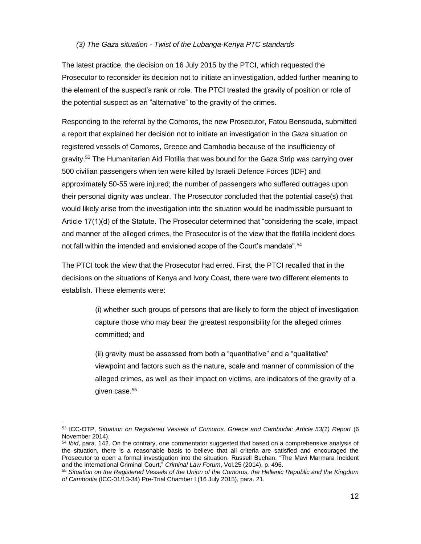#### *(3) The Gaza situation - Twist of the Lubanga-Kenya PTC standards*

The latest practice, the decision on 16 July 2015 by the PTCI, which requested the Prosecutor to reconsider its decision not to initiate an investigation, added further meaning to the element of the suspect's rank or role. The PTCI treated the gravity of position or role of the potential suspect as an "alternative" to the gravity of the crimes.

Responding to the referral by the Comoros, the new Prosecutor, Fatou Bensouda, submitted a report that explained her decision not to initiate an investigation in the *Gaza* situation on registered vessels of Comoros, Greece and Cambodia because of the insufficiency of gravity.<sup>53</sup> The Humanitarian Aid Flotilla that was bound for the Gaza Strip was carrying over 500 civilian passengers when ten were killed by Israeli Defence Forces (IDF) and approximately 50-55 were injured; the number of passengers who suffered outrages upon their personal dignity was unclear. The Prosecutor concluded that the potential case(s) that would likely arise from the investigation into the situation would be inadmissible pursuant to Article 17(1)(d) of the Statute. The Prosecutor determined that "considering the scale, impact and manner of the alleged crimes, the Prosecutor is of the view that the flotilla incident does not fall within the intended and envisioned scope of the Court's mandate".<sup>54</sup>

The PTCI took the view that the Prosecutor had erred. First, the PTCI recalled that in the decisions on the situations of Kenya and Ivory Coast, there were two different elements to establish. These elements were:

> (i) whether such groups of persons that are likely to form the object of investigation capture those who may bear the greatest responsibility for the alleged crimes committed; and

(ii) gravity must be assessed from both a "quantitative" and a "qualitative" viewpoint and factors such as the nature, scale and manner of commission of the alleged crimes, as well as their impact on victims, are indicators of the gravity of a given case.<sup>55</sup>

 $\overline{a}$ 

<sup>53</sup> ICC-OTP, *Situation on Registered Vessels of Comoros, Greece and Cambodia: Article 53(1) Report* (6 November 2014).

<sup>54</sup> *Ibid*, para. 142. On the contrary, one commentator suggested that based on a comprehensive analysis of the situation, there is a reasonable basis to believe that all criteria are satisfied and encouraged the Prosecutor to open a formal investigation into the situation. Russell Buchan, "The Mavi Marmara Incident and the International Criminal Court," *Criminal Law Forum*, Vol.25 (2014), p. 496.

<sup>55</sup> *Situation on the Registered Vessels of the Union of the Comoros, the Hellenic Republic and the Kingdom of Cambodia* (ICC-01/13-34) Pre-Trial Chamber I (16 July 2015), para. 21.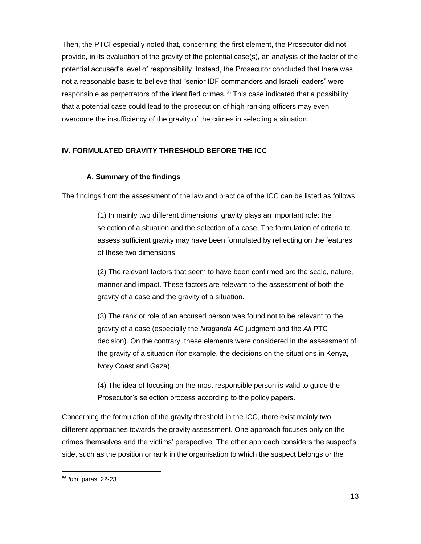Then, the PTCI especially noted that, concerning the first element, the Prosecutor did not provide, in its evaluation of the gravity of the potential case(s), an analysis of the factor of the potential accused's level of responsibility. Instead, the Prosecutor concluded that there was not a reasonable basis to believe that "senior IDF commanders and Israeli leaders" were responsible as perpetrators of the identified crimes.<sup>56</sup> This case indicated that a possibility that a potential case could lead to the prosecution of high-ranking officers may even overcome the insufficiency of the gravity of the crimes in selecting a situation.

## **IV. FORMULATED GRAVITY THRESHOLD BEFORE THE ICC**

## **A. Summary of the findings**

The findings from the assessment of the law and practice of the ICC can be listed as follows.

(1) In mainly two different dimensions, gravity plays an important role: the selection of a situation and the selection of a case. The formulation of criteria to assess sufficient gravity may have been formulated by reflecting on the features of these two dimensions.

(2) The relevant factors that seem to have been confirmed are the scale, nature, manner and impact. These factors are relevant to the assessment of both the gravity of a case and the gravity of a situation.

(3) The rank or role of an accused person was found not to be relevant to the gravity of a case (especially the *Ntaganda* AC judgment and the *Ali* PTC decision). On the contrary, these elements were considered in the assessment of the gravity of a situation (for example, the decisions on the situations in Kenya, Ivory Coast and Gaza).

(4) The idea of focusing on the most responsible person is valid to guide the Prosecutor's selection process according to the policy papers.

Concerning the formulation of the gravity threshold in the ICC, there exist mainly two different approaches towards the gravity assessment. One approach focuses only on the crimes themselves and the victims' perspective. The other approach considers the suspect's side, such as the position or rank in the organisation to which the suspect belongs or the

l <sup>56</sup> *Ibid*, paras. 22-23.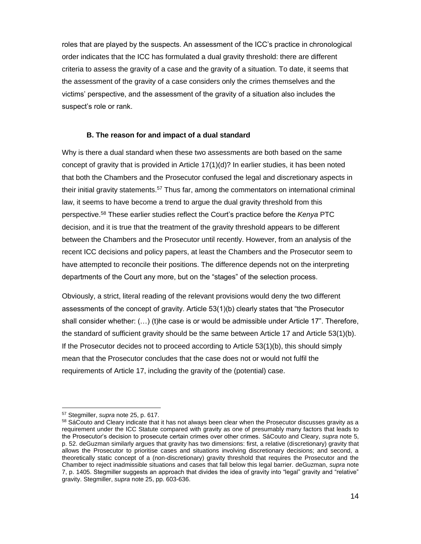roles that are played by the suspects. An assessment of the ICC's practice in chronological order indicates that the ICC has formulated a dual gravity threshold: there are different criteria to assess the gravity of a case and the gravity of a situation. To date, it seems that the assessment of the gravity of a case considers only the crimes themselves and the victims' perspective, and the assessment of the gravity of a situation also includes the suspect's role or rank.

## **B. The reason for and impact of a dual standard**

Why is there a dual standard when these two assessments are both based on the same concept of gravity that is provided in Article 17(1)(d)? In earlier studies, it has been noted that both the Chambers and the Prosecutor confused the legal and discretionary aspects in their initial gravity statements.<sup>57</sup> Thus far, among the commentators on international criminal law, it seems to have become a trend to argue the dual gravity threshold from this perspective.<sup>58</sup> These earlier studies reflect the Court's practice before the *Kenya* PTC decision, and it is true that the treatment of the gravity threshold appears to be different between the Chambers and the Prosecutor until recently. However, from an analysis of the recent ICC decisions and policy papers, at least the Chambers and the Prosecutor seem to have attempted to reconcile their positions. The difference depends not on the interpreting departments of the Court any more, but on the "stages" of the selection process.

Obviously, a strict, literal reading of the relevant provisions would deny the two different assessments of the concept of gravity. Article 53(1)(b) clearly states that "the Prosecutor shall consider whether: (…) (t)he case is or would be admissible under Article 17". Therefore, the standard of sufficient gravity should be the same between Article 17 and Article 53(1)(b). If the Prosecutor decides not to proceed according to Article 53(1)(b), this should simply mean that the Prosecutor concludes that the case does not or would not fulfil the requirements of Article 17, including the gravity of the (potential) case.

 $\overline{a}$ <sup>57</sup> Stegmiller, *supra* note 25, p. 617.

<sup>&</sup>lt;sup>58</sup> SáCouto and Cleary indicate that it has not always been clear when the Prosecutor discusses gravity as a requirement under the ICC Statute compared with gravity as one of presumably many factors that leads to the Prosecutor's decision to prosecute certain crimes over other crimes. SáCouto and Cleary, *supra* note 5, p. 52. deGuzman similarly argues that gravity has two dimensions: first, a relative (discretionary) gravity that allows the Prosecutor to prioritise cases and situations involving discretionary decisions; and second, a theoretically static concept of a (non-discretionary) gravity threshold that requires the Prosecutor and the Chamber to reject inadmissible situations and cases that fall below this legal barrier. deGuzman, *supra* note 7, p. 1405. Stegmiller suggests an approach that divides the idea of gravity into "legal" gravity and "relative" gravity. Stegmiller, *supra* note 25, pp. 603-636.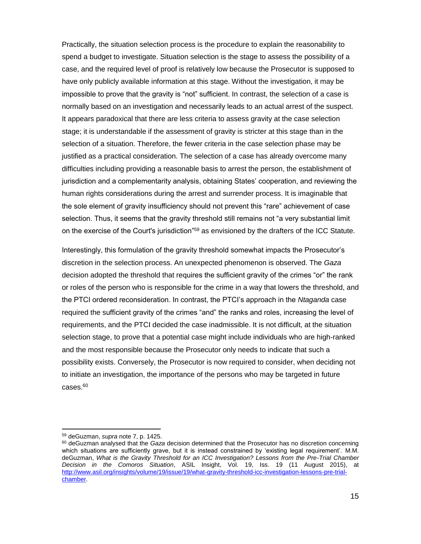Practically, the situation selection process is the procedure to explain the reasonability to spend a budget to investigate. Situation selection is the stage to assess the possibility of a case, and the required level of proof is relatively low because the Prosecutor is supposed to have only publicly available information at this stage. Without the investigation, it may be impossible to prove that the gravity is "not" sufficient. In contrast, the selection of a case is normally based on an investigation and necessarily leads to an actual arrest of the suspect. It appears paradoxical that there are less criteria to assess gravity at the case selection stage; it is understandable if the assessment of gravity is stricter at this stage than in the selection of a situation. Therefore, the fewer criteria in the case selection phase may be justified as a practical consideration. The selection of a case has already overcome many difficulties including providing a reasonable basis to arrest the person, the establishment of jurisdiction and a complementarity analysis, obtaining States' cooperation, and reviewing the human rights considerations during the arrest and surrender process. It is imaginable that the sole element of gravity insufficiency should not prevent this "rare" achievement of case selection. Thus, it seems that the gravity threshold still remains not "a very substantial limit on the exercise of the Court's jurisdiction<sup>"59</sup> as envisioned by the drafters of the ICC Statute.

Interestingly, this formulation of the gravity threshold somewhat impacts the Prosecutor's discretion in the selection process. An unexpected phenomenon is observed. The *Gaza* decision adopted the threshold that requires the sufficient gravity of the crimes "or" the rank or roles of the person who is responsible for the crime in a way that lowers the threshold, and the PTCI ordered reconsideration. In contrast, the PTCI's approach in the *Ntaganda* case required the sufficient gravity of the crimes "and" the ranks and roles, increasing the level of requirements, and the PTCI decided the case inadmissible. It is not difficult, at the situation selection stage, to prove that a potential case might include individuals who are high-ranked and the most responsible because the Prosecutor only needs to indicate that such a possibility exists. Conversely, the Prosecutor is now required to consider, when deciding not to initiate an investigation, the importance of the persons who may be targeted in future cases.<sup>60</sup>

<sup>59</sup> deGuzman, *supra* note 7, p. 1425.

<sup>60</sup> deGuzman analysed that the *Gaza* decision determined that the Prosecutor has no discretion concerning which situations are sufficiently grave, but it is instead constrained by 'existing legal requirement'. M.M. deGuzman, *What is the Gravity Threshold for an ICC Investigation? Lessons from the Pre-Trial Chamber Decision in the Comoros Situation*, ASIL Insight, Vol. 19, Iss. 19 (11 August 2015), at [http://www.asil.org/insights/volume/19/issue/19/what-gravity-threshold-icc-investigation-lessons-pre-trial](http://www.asil.org/insights/volume/19/issue/19/what-gravity-threshold-icc-investigation-lessons-pre-trial-chamber)[chamber.](http://www.asil.org/insights/volume/19/issue/19/what-gravity-threshold-icc-investigation-lessons-pre-trial-chamber)